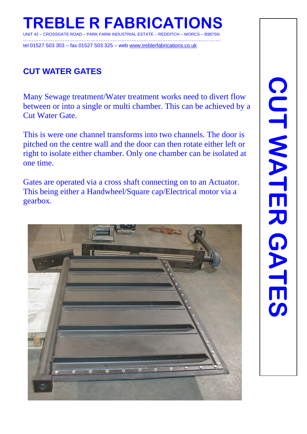## **TREBLE R FABRICATIONS**  UNIT 42 – CROSSGATE ROAD – PARK FARM INDUSTRIAL ESTATE – REDDITCH – WORCS – B987SN

……………………………………………………………………………………………………. tel 01527 503 303 – fax 01527 503 325 – web www.treblerfabrications.co.uk

# **CUT WATER GATES**

Many Sewage treatment/Water treatment works need to divert flow between or into a single or multi chamber. This can be achieved by a Cut Water Gate.

This is were one channel transforms into two channels. The door is pitched on the centre wall and the door can then rotate either left or right to isolate either chamber. Only one chamber can be isolated at one time.

Gates are operated via a cross shaft connecting on to an Actuator. This being either a Handwheel/Square cap/Electrical motor via a gearbox.

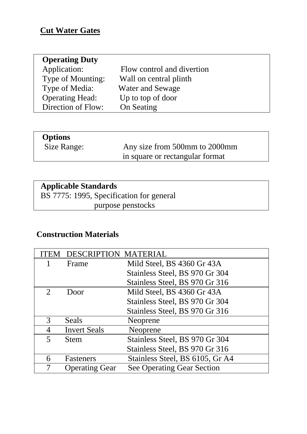### **Cut Water Gates**

| <b>Operating Duty</b>  |                            |
|------------------------|----------------------------|
| Application:           | Flow control and divertion |
| Type of Mounting:      | Wall on central plinth     |
| Type of Media:         | Water and Sewage           |
| <b>Operating Head:</b> | Up to top of door          |
| Direction of Flow:     | On Seating                 |
|                        |                            |

# **Options**<br>Size Range:

Any size from 500mm to 2000mm in square or rectangular format

### **Applicable Standards**

 BS 7775: 1995, Specification for general purpose penstocks

#### **Construction Materials**

| TEM                     | <b>DESCRIPTION MATERIAL</b> |                                   |
|-------------------------|-----------------------------|-----------------------------------|
|                         | Frame                       | Mild Steel, BS 4360 Gr 43A        |
|                         |                             | Stainless Steel, BS 970 Gr 304    |
|                         |                             | Stainless Steel, BS 970 Gr 316    |
| $\overline{2}$          | Door                        | Mild Steel, BS 4360 Gr 43A        |
|                         |                             | Stainless Steel, BS 970 Gr 304    |
|                         |                             | Stainless Steel, BS 970 Gr 316    |
| 3                       | Seals                       | Neoprene                          |
| 4                       | <b>Invert Seals</b>         | Neoprene                          |
| $\overline{\mathbf{5}}$ | <b>Stem</b>                 | Stainless Steel, BS 970 Gr 304    |
|                         |                             | Stainless Steel, BS 970 Gr 316    |
| 6                       | Fasteners                   | Stainless Steel, BS 6105, Gr A4   |
|                         | <b>Operating Gear</b>       | <b>See Operating Gear Section</b> |